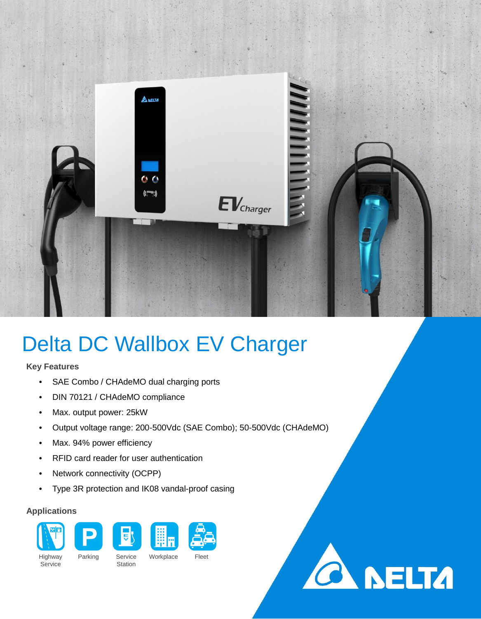

## Delta DC Wallbox EV Charger

## **Key Features**

- SAE Combo / CHAdeMO dual charging ports
- DIN 70121 / CHAdeMO compliance
- Max. output power: 25kW
- Output voltage range: 200-500Vdc (SAE Combo); 50-500Vdc (CHAdeMO)
- Max. 94% power efficiency
- RFID card reader for user authentication
- Network connectivity (OCPP)
- Type 3R protection and IK08 vandal-proof casing

## **Applications**



**CA NELTA** 

**Service** 

Station